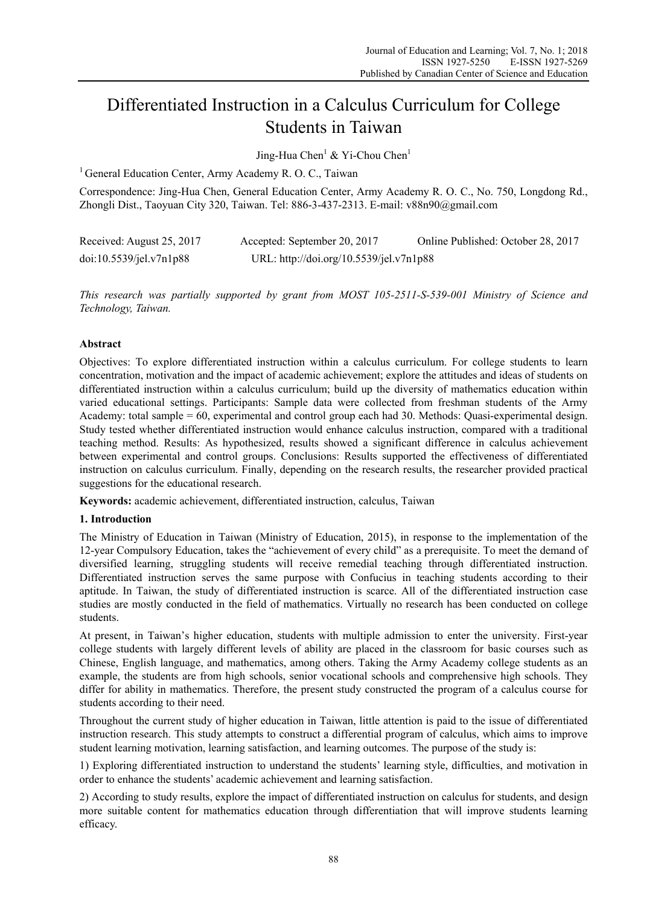# Differentiated Instruction in a Calculus Curriculum for College Students in Taiwan

Jing-Hua Chen<sup>1</sup> & Yi-Chou Chen<sup>1</sup>

<sup>1</sup> General Education Center, Army Academy R. O. C., Taiwan

Correspondence: Jing-Hua Chen, General Education Center, Army Academy R. O. C., No. 750, Longdong Rd., Zhongli Dist., Taoyuan City 320, Taiwan. Tel: 886-3-437-2313. E-mail: v88n90@gmail.com

| Received: August 25, 2017 | Accepted: September 20, 2017            | Online Published: October 28, 2017 |
|---------------------------|-----------------------------------------|------------------------------------|
| doi:10.5539/jel.v7n1p88   | URL: http://doi.org/10.5539/jel.v7n1p88 |                                    |

*This research was partially supported by grant from MOST 105-2511-S-539-001 Ministry of Science and Technology, Taiwan.* 

#### **Abstract**

Objectives: To explore differentiated instruction within a calculus curriculum. For college students to learn concentration, motivation and the impact of academic achievement; explore the attitudes and ideas of students on differentiated instruction within a calculus curriculum; build up the diversity of mathematics education within varied educational settings. Participants: Sample data were collected from freshman students of the Army Academy: total sample = 60, experimental and control group each had 30. Methods: Quasi-experimental design. Study tested whether differentiated instruction would enhance calculus instruction, compared with a traditional teaching method. Results: As hypothesized, results showed a significant difference in calculus achievement between experimental and control groups. Conclusions: Results supported the effectiveness of differentiated instruction on calculus curriculum. Finally, depending on the research results, the researcher provided practical suggestions for the educational research.

**Keywords:** academic achievement, differentiated instruction, calculus, Taiwan

#### **1. Introduction**

The Ministry of Education in Taiwan (Ministry of Education, 2015), in response to the implementation of the 12-year Compulsory Education, takes the "achievement of every child" as a prerequisite. To meet the demand of diversified learning, struggling students will receive remedial teaching through differentiated instruction. Differentiated instruction serves the same purpose with Confucius in teaching students according to their aptitude. In Taiwan, the study of differentiated instruction is scarce. All of the differentiated instruction case studies are mostly conducted in the field of mathematics. Virtually no research has been conducted on college students.

At present, in Taiwan's higher education, students with multiple admission to enter the university. First-year college students with largely different levels of ability are placed in the classroom for basic courses such as Chinese, English language, and mathematics, among others. Taking the Army Academy college students as an example, the students are from high schools, senior vocational schools and comprehensive high schools. They differ for ability in mathematics. Therefore, the present study constructed the program of a calculus course for students according to their need.

Throughout the current study of higher education in Taiwan, little attention is paid to the issue of differentiated instruction research. This study attempts to construct a differential program of calculus, which aims to improve student learning motivation, learning satisfaction, and learning outcomes. The purpose of the study is:

1) Exploring differentiated instruction to understand the students' learning style, difficulties, and motivation in order to enhance the students' academic achievement and learning satisfaction.

2) According to study results, explore the impact of differentiated instruction on calculus for students, and design more suitable content for mathematics education through differentiation that will improve students learning efficacy.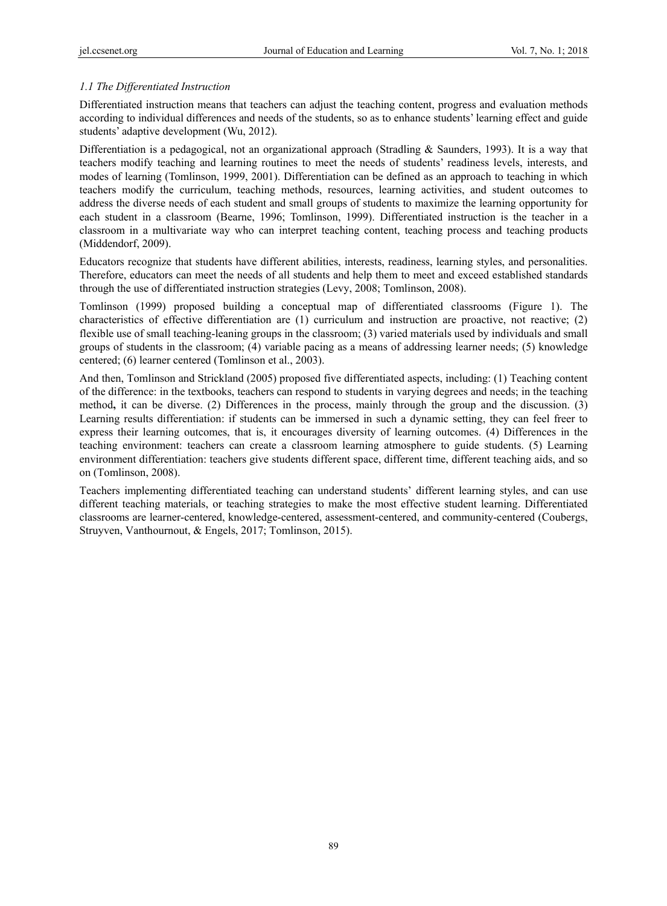## *1.1 The Differentiated Instruction*

Differentiated instruction means that teachers can adjust the teaching content, progress and evaluation methods according to individual differences and needs of the students, so as to enhance students' learning effect and guide students' adaptive development (Wu, 2012).

Differentiation is a pedagogical, not an organizational approach (Stradling & Saunders, 1993). It is a way that teachers modify teaching and learning routines to meet the needs of students' readiness levels, interests, and modes of learning (Tomlinson, 1999, 2001). Differentiation can be defined as an approach to teaching in which teachers modify the curriculum, teaching methods, resources, learning activities, and student outcomes to address the diverse needs of each student and small groups of students to maximize the learning opportunity for each student in a classroom (Bearne, 1996; Tomlinson, 1999). Differentiated instruction is the teacher in a classroom in a multivariate way who can interpret teaching content, teaching process and teaching products (Middendorf, 2009).

Educators recognize that students have different abilities, interests, readiness, learning styles, and personalities. Therefore, educators can meet the needs of all students and help them to meet and exceed established standards through the use of differentiated instruction strategies (Levy, 2008; Tomlinson, 2008).

Tomlinson (1999) proposed building a conceptual map of differentiated classrooms (Figure 1). The characteristics of effective differentiation are (1) curriculum and instruction are proactive, not reactive; (2) flexible use of small teaching-leaning groups in the classroom; (3) varied materials used by individuals and small groups of students in the classroom; (4) variable pacing as a means of addressing learner needs; (5) knowledge centered; (6) learner centered (Tomlinson et al., 2003).

And then, Tomlinson and Strickland (2005) proposed five differentiated aspects, including: (1) Teaching content of the difference: in the textbooks, teachers can respond to students in varying degrees and needs; in the teaching method**,** it can be diverse. (2) Differences in the process, mainly through the group and the discussion. (3) Learning results differentiation: if students can be immersed in such a dynamic setting, they can feel freer to express their learning outcomes, that is, it encourages diversity of learning outcomes. (4) Differences in the teaching environment: teachers can create a classroom learning atmosphere to guide students. (5) Learning environment differentiation: teachers give students different space, different time, different teaching aids, and so on (Tomlinson, 2008).

Teachers implementing differentiated teaching can understand students' different learning styles, and can use different teaching materials, or teaching strategies to make the most effective student learning. Differentiated classrooms are learner-centered, knowledge-centered, assessment-centered, and community-centered (Coubergs, Struyven, Vanthournout, & Engels, 2017; Tomlinson, 2015).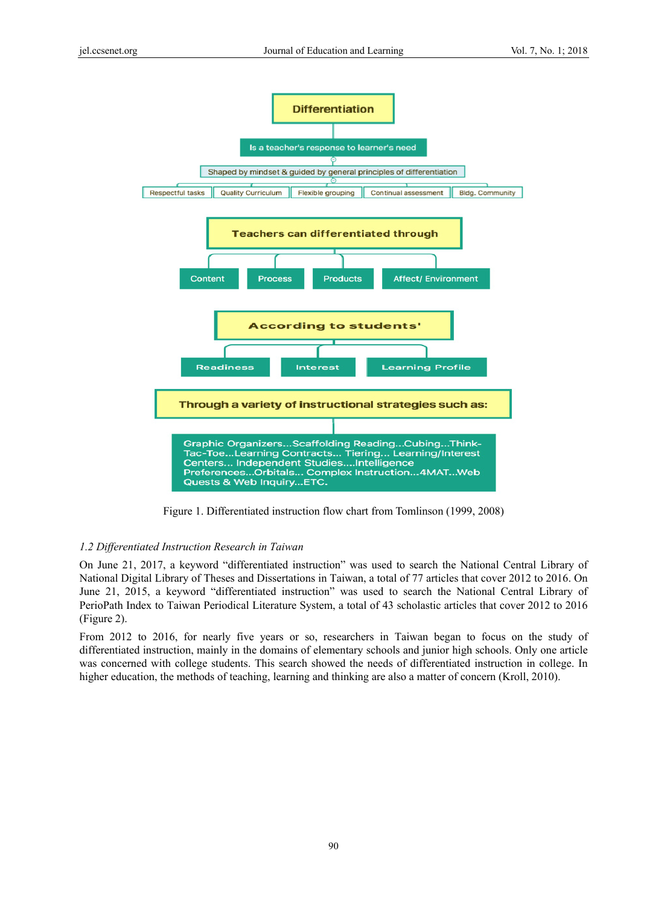

Figure 1. Differentiated instruction flow chart from Tomlinson (1999, 2008)

#### *1.2 Differentiated Instruction Research in Taiwan*

On June 21, 2017, a keyword "differentiated instruction" was used to search the National Central Library of National Digital Library of Theses and Dissertations in Taiwan, a total of 77 articles that cover 2012 to 2016. On June 21, 2015, a keyword "differentiated instruction" was used to search the National Central Library of PerioPath Index to Taiwan Periodical Literature System, a total of 43 scholastic articles that cover 2012 to 2016 (Figure 2).

From 2012 to 2016, for nearly five years or so, researchers in Taiwan began to focus on the study of differentiated instruction, mainly in the domains of elementary schools and junior high schools. Only one article was concerned with college students. This search showed the needs of differentiated instruction in college. In higher education, the methods of teaching, learning and thinking are also a matter of concern (Kroll, 2010).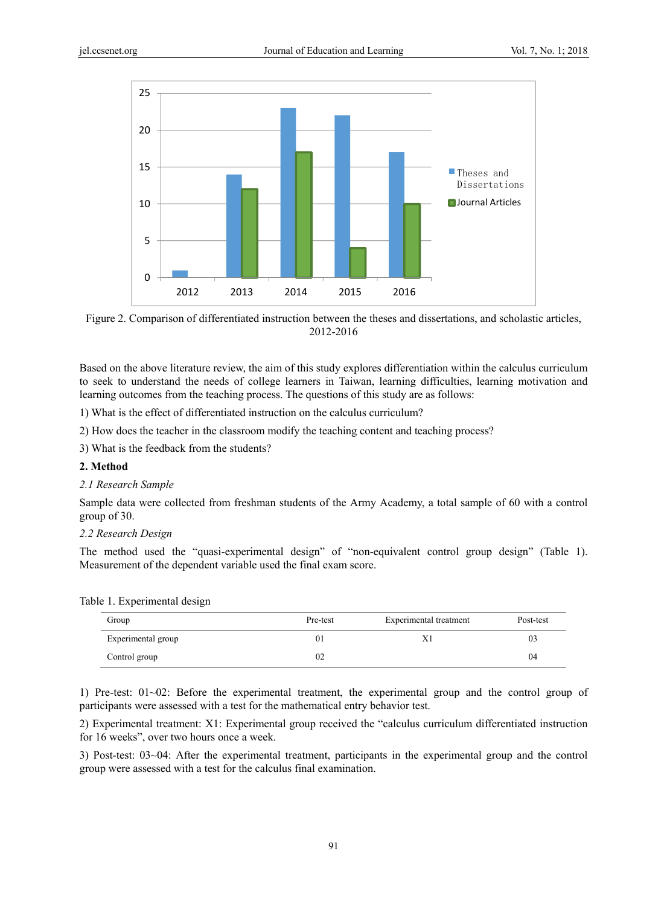

Figure 2. Comparison of differentiated instruction between the theses and dissertations, and scholastic articles, 2012-2016

Based on the above literature review, the aim of this study explores differentiation within the calculus curriculum to seek to understand the needs of college learners in Taiwan, learning difficulties, learning motivation and learning outcomes from the teaching process. The questions of this study are as follows:

1) What is the effect of differentiated instruction on the calculus curriculum?

2) How does the teacher in the classroom modify the teaching content and teaching process?

3) What is the feedback from the students?

# **2. Method**

#### *2.1 Research Sample*

Sample data were collected from freshman students of the Army Academy, a total sample of 60 with a control group of 30.

#### *2.2 Research Design*

The method used the "quasi-experimental design" of "non-equivalent control group design" (Table 1). Measurement of the dependent variable used the final exam score.

| Group              | Pre-test | Experimental treatment | Post-test |
|--------------------|----------|------------------------|-----------|
| Experimental group | 01       |                        | 03        |
| Control group      | 02       |                        | 04        |

Table 1. Experimental design

1) Pre-test: 01~02: Before the experimental treatment, the experimental group and the control group of participants were assessed with a test for the mathematical entry behavior test.

2) Experimental treatment: X1: Experimental group received the "calculus curriculum differentiated instruction for 16 weeks", over two hours once a week.

3) Post-test: 03~04: After the experimental treatment, participants in the experimental group and the control group were assessed with a test for the calculus final examination.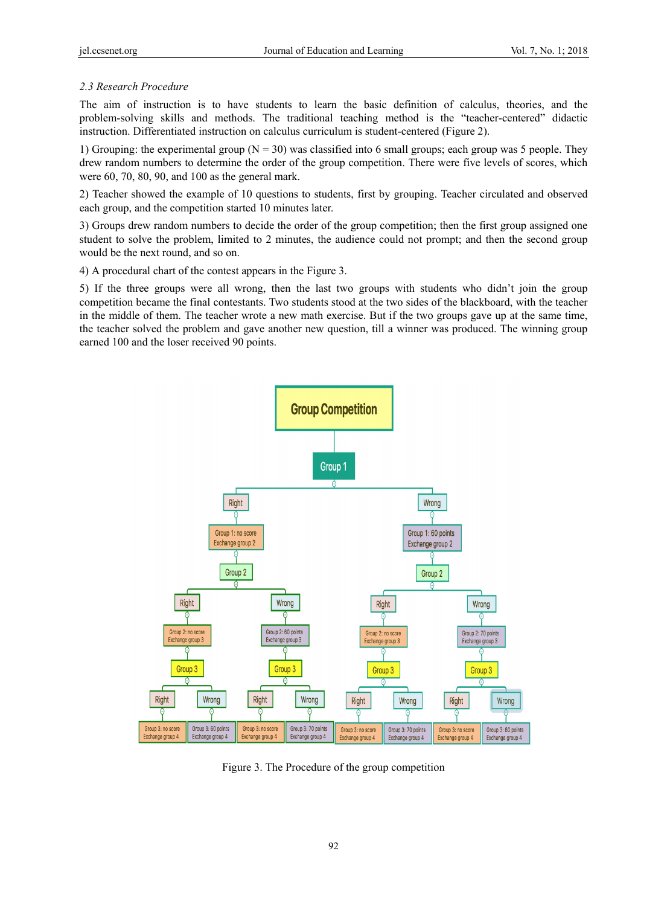## *2.3 Research Procedure*

The aim of instruction is to have students to learn the basic definition of calculus, theories, and the problem-solving skills and methods. The traditional teaching method is the "teacher-centered" didactic instruction. Differentiated instruction on calculus curriculum is student-centered (Figure 2).

1) Grouping: the experimental group  $(N = 30)$  was classified into 6 small groups; each group was 5 people. They drew random numbers to determine the order of the group competition. There were five levels of scores, which were 60, 70, 80, 90, and 100 as the general mark.

2) Teacher showed the example of 10 questions to students, first by grouping. Teacher circulated and observed each group, and the competition started 10 minutes later.

3) Groups drew random numbers to decide the order of the group competition; then the first group assigned one student to solve the problem, limited to 2 minutes, the audience could not prompt; and then the second group would be the next round, and so on.

4) A procedural chart of the contest appears in the Figure 3.

5) If the three groups were all wrong, then the last two groups with students who didn't join the group competition became the final contestants. Two students stood at the two sides of the blackboard, with the teacher in the middle of them. The teacher wrote a new math exercise. But if the two groups gave up at the same time, the teacher solved the problem and gave another new question, till a winner was produced. The winning group earned 100 and the loser received 90 points.



Figure 3. The Procedure of the group competition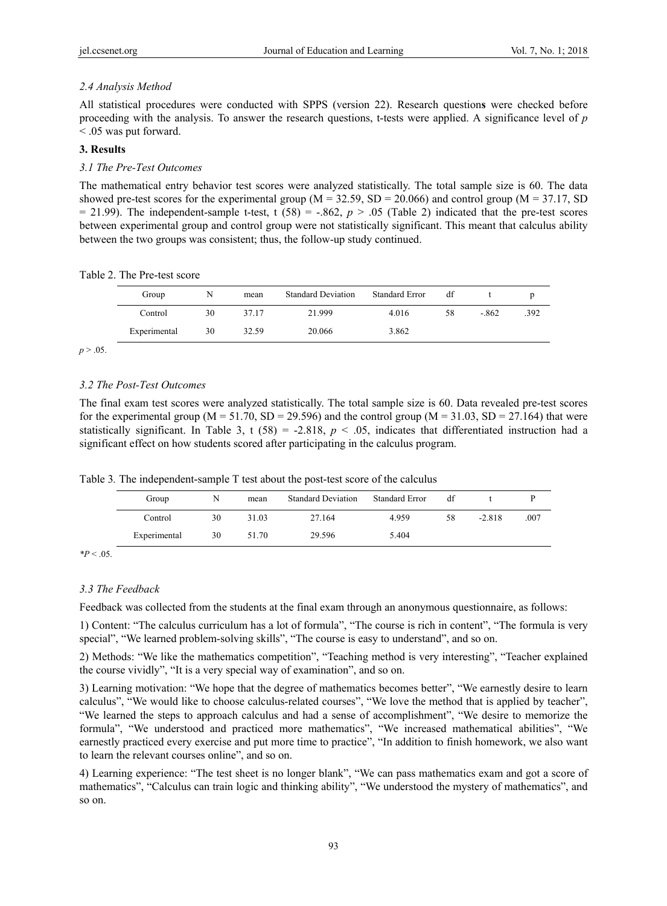# *2.4 Analysis Method*

All statistical procedures were conducted with SPPS (version 22). Research question**s** were checked before proceeding with the analysis. To answer the research questions, t-tests were applied. A significance level of *p* < .05 was put forward.

## **3. Results**

# *3.1 The Pre-Test Outcomes*

The mathematical entry behavior test scores were analyzed statistically. The total sample size is 60. The data showed pre-test scores for the experimental group ( $M = 32.59$ ,  $SD = 20.066$ ) and control group ( $M = 37.17$ , SD  $= 21.99$ ). The independent-sample t-test, t (58) =  $-.862$ ,  $p > .05$  (Table 2) indicated that the pre-test scores between experimental group and control group were not statistically significant. This meant that calculus ability between the two groups was consistent; thus, the follow-up study continued.

| Group        | N  | mean  | <b>Standard Deviation</b> | Standard Error | df |        |      |
|--------------|----|-------|---------------------------|----------------|----|--------|------|
| Control      | 30 | 37.17 | 21.999                    | 4.016          | 58 | $-862$ | .392 |
| Experimental | 30 | 32.59 | 20.066                    | 3.862          |    |        |      |

 $p > .05$ .

## *3.2 The Post-Test Outcomes*

The final exam test scores were analyzed statistically. The total sample size is 60. Data revealed pre-test scores for the experimental group (M = 51.70, SD = 29.596) and the control group (M = 31.03, SD = 27.164) that were statistically significant. In Table 3, t  $(58) = -2.818$ ,  $p < .05$ , indicates that differentiated instruction had a significant effect on how students scored after participating in the calculus program.

Table 3*.* The independent-sample T test about the post-test score of the calculus

| Group        | N  | mean  | <b>Standard Deviation</b> | Standard Error | df |          |      |
|--------------|----|-------|---------------------------|----------------|----|----------|------|
| Control      | 30 | 31.03 | 27.164                    | 4.959          | 58 | $-2.818$ | .007 |
| Experimental | 30 | 51.70 | 29.596                    | 5.404          |    |          |      |

 $*P < 0.05$ .

## *3.3 The Feedback*

Feedback was collected from the students at the final exam through an anonymous questionnaire, as follows:

1) Content: "The calculus curriculum has a lot of formula", "The course is rich in content", "The formula is very special", "We learned problem-solving skills", "The course is easy to understand", and so on.

2) Methods: "We like the mathematics competition", "Teaching method is very interesting", "Teacher explained the course vividly", "It is a very special way of examination", and so on.

3) Learning motivation: "We hope that the degree of mathematics becomes better", "We earnestly desire to learn calculus", "We would like to choose calculus-related courses", "We love the method that is applied by teacher", "We learned the steps to approach calculus and had a sense of accomplishment", "We desire to memorize the formula", "We understood and practiced more mathematics", "We increased mathematical abilities", "We earnestly practiced every exercise and put more time to practice", "In addition to finish homework, we also want to learn the relevant courses online", and so on.

4) Learning experience: "The test sheet is no longer blank", "We can pass mathematics exam and got a score of mathematics", "Calculus can train logic and thinking ability", "We understood the mystery of mathematics", and so on.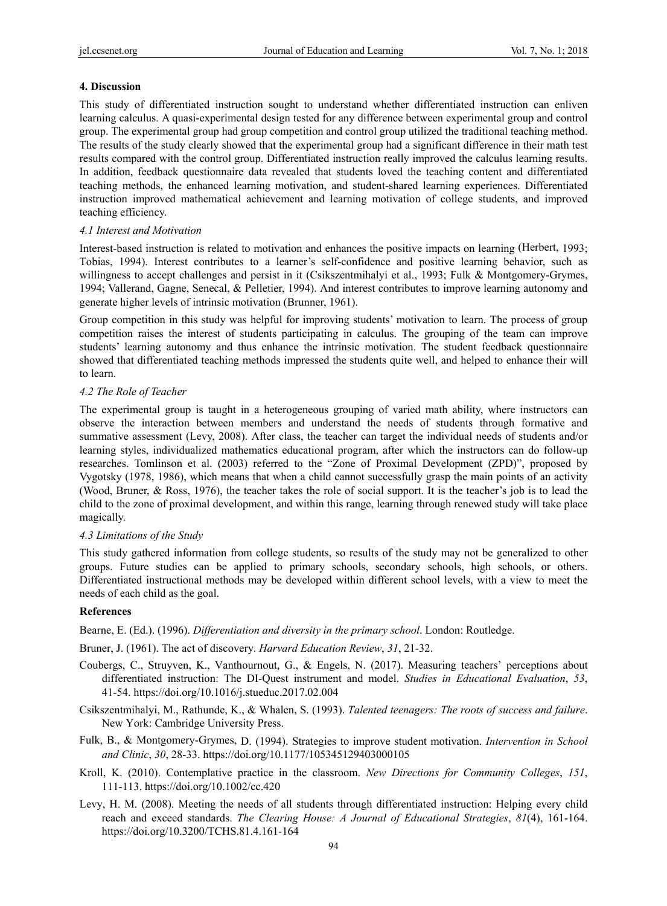#### **4. Discussion**

This study of differentiated instruction sought to understand whether differentiated instruction can enliven learning calculus. A quasi-experimental design tested for any difference between experimental group and control group. The experimental group had group competition and control group utilized the traditional teaching method. The results of the study clearly showed that the experimental group had a significant difference in their math test results compared with the control group. Differentiated instruction really improved the calculus learning results. In addition, feedback questionnaire data revealed that students loved the teaching content and differentiated teaching methods, the enhanced learning motivation, and student-shared learning experiences. Differentiated instruction improved mathematical achievement and learning motivation of college students, and improved teaching efficiency.

#### *4.1 Interest and Motivation*

Interest-based instruction is related to motivation and enhances the positive impacts on learning (Herbert, 1993; Tobias, 1994). Interest contributes to a learner's self-confidence and positive learning behavior, such as willingness to accept challenges and persist in it (Csikszentmihalyi et al., 1993; Fulk & Montgomery-Grymes, 1994; Vallerand, Gagne, Senecal, & Pelletier, 1994). And interest contributes to improve learning autonomy and generate higher levels of intrinsic motivation (Brunner, 1961).

Group competition in this study was helpful for improving students' motivation to learn. The process of group competition raises the interest of students participating in calculus. The grouping of the team can improve students' learning autonomy and thus enhance the intrinsic motivation. The student feedback questionnaire showed that differentiated teaching methods impressed the students quite well, and helped to enhance their will to learn.

# *4.2 The Role of Teacher*

The experimental group is taught in a heterogeneous grouping of varied math ability, where instructors can observe the interaction between members and understand the needs of students through formative and summative assessment (Levy, 2008). After class, the teacher can target the individual needs of students and/or learning styles, individualized mathematics educational program, after which the instructors can do follow-up researches. Tomlinson et al. (2003) referred to the "Zone of Proximal Development (ZPD)", proposed by Vygotsky (1978, 1986), which means that when a child cannot successfully grasp the main points of an activity (Wood, Bruner, & Ross, 1976), the teacher takes the role of social support. It is the teacher's job is to lead the child to the zone of proximal development, and within this range, learning through renewed study will take place magically.

## *4.3 Limitations of the Study*

This study gathered information from college students, so results of the study may not be generalized to other groups. Future studies can be applied to primary schools, secondary schools, high schools, or others. Differentiated instructional methods may be developed within different school levels, with a view to meet the needs of each child as the goal.

## **References**

Bearne, E. (Ed.). (1996). *Differentiation and diversity in the primary school*. London: Routledge.

Bruner, J. (1961). The act of discovery. *Harvard Education Review*, *31*, 21-32.

- Coubergs, C., Struyven, K., Vanthournout, G., & Engels, N. (2017). Measuring teachers' perceptions about differentiated instruction: The DI-Quest instrument and model. *Studies in Educational Evaluation*, *53*, 41-54. https://doi.org/10.1016/j.stueduc.2017.02.004
- Csikszentmihalyi, M., Rathunde, K., & Whalen, S. (1993). *Talented teenagers: The roots of success and failure*. New York: Cambridge University Press.
- Fulk, B., & Montgomery-Grymes, D. (1994). Strategies to improve student motivation. *Intervention in School and Clinic*, *30*, 28-33. https://doi.org/10.1177/105345129403000105
- Kroll, K. (2010). Contemplative practice in the classroom. *New Directions for Community Colleges*, *151*, 111-113. https://doi.org/10.1002/cc.420
- Levy, H. M. (2008). Meeting the needs of all students through differentiated instruction: Helping every child reach and exceed standards. *The Clearing House: A Journal of Educational Strategies*, *81*(4), 161-164. https://doi.org/10.3200/TCHS.81.4.161-164